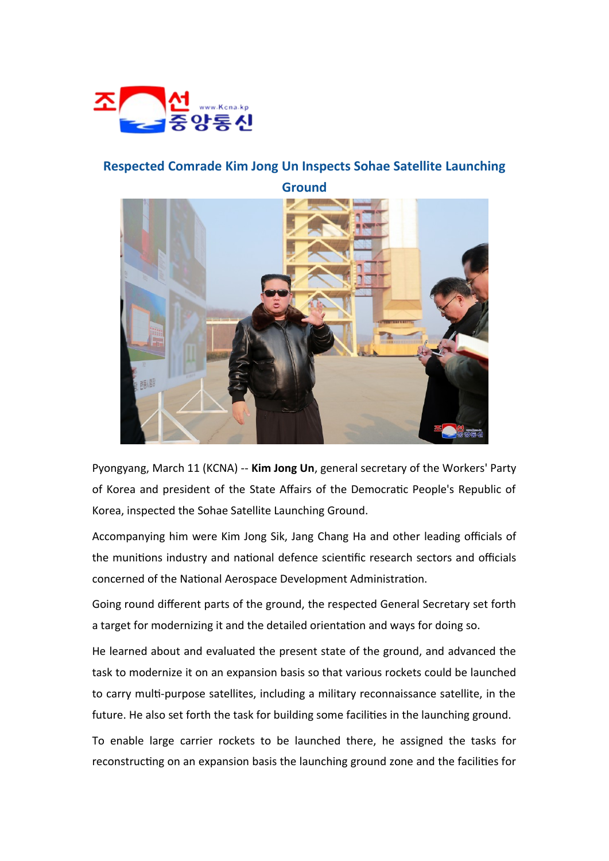

## **Respected Comrade Kim Jong Un Inspects Sohae Satellite Launching**



Pyongyang, March 11 (KCNA) -- **Kim Jong Un**, general secretary of the Workers' Party of Korea and president of the State Affairs of the Democratic People's Republic of Korea, inspected the Sohae Satellite Launching Ground.

Accompanying him were Kim Jong Sik, Jang Chang Ha and other leading officials of the munitions industry and national defence scientific research sectors and officials concerned of the National Aerospace Development Administration.

Going round different parts of the ground, the respected General Secretary set forth a target for modernizing it and the detailed orientation and ways for doing so.

He learned about and evaluated the present state of the ground, and advanced the task to modernize it on an expansion basis so that various rockets could be launched to carry multi-purpose satellites, including a military reconnaissance satellite, in the future. He also set forth the task for building some facilities in the launching ground.

To enable large carrier rockets to be launched there, he assigned the tasks for reconstructing on an expansion basis the launching ground zone and the facilities for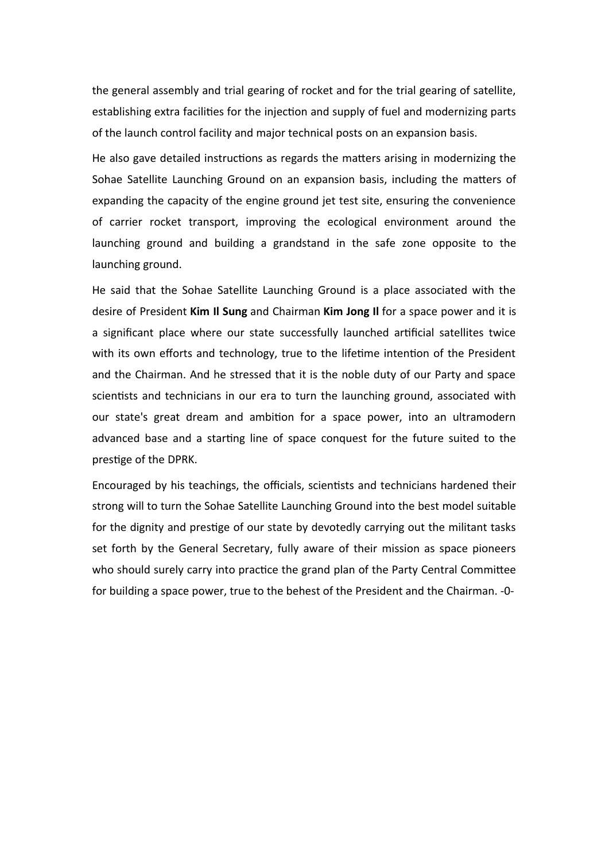the general assembly and trial gearing of rocket and for the trial gearing of satellite, establishing extra facilities for the injection and supply of fuel and modernizing parts of the launch control facility and major technical posts on an expansion basis.

He also gave detailed instructions as regards the matters arising in modernizing the Sohae Satellite Launching Ground on an expansion basis, including the matters of expanding the capacity of the engine ground jet test site, ensuring the convenience of carrier rocket transport, improving the ecological environment around the launching ground and building a grandstand in the safe zone opposite to the launching ground.

He said that the Sohae Satellite Launching Ground is a place associated with the desire of President **Kim Il Sung** and Chairman **Kim Jong Il** for a space power and it is a significant place where our state successfully launched artificial satellites twice with its own efforts and technology, true to the lifetime intention of the President and the Chairman. And he stressed that it is the noble duty of our Party and space scientists and technicians in our era to turn the launching ground, associated with our state's great dream and ambition for a space power, into an ultramodern advanced base and a starting line of space conquest for the future suited to the prestige of the DPRK.

Encouraged by his teachings, the officials, scientists and technicians hardened their strong will to turn the Sohae Satellite Launching Ground into the best model suitable for the dignity and prestige of our state by devotedly carrying out the militant tasks set forth by the General Secretary, fully aware of their mission as space pioneers who should surely carry into practice the grand plan of the Party Central Committee for building a space power, true to the behest of the President and the Chairman. -0-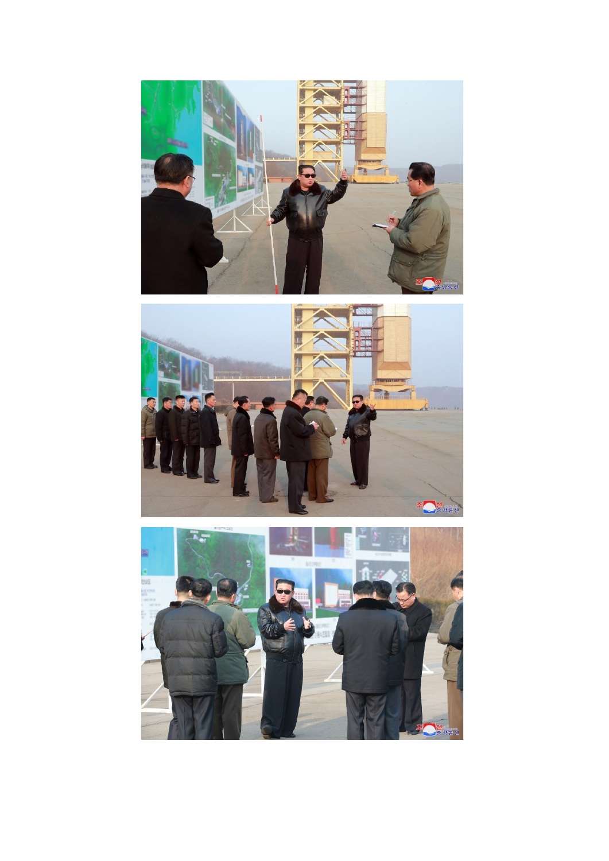